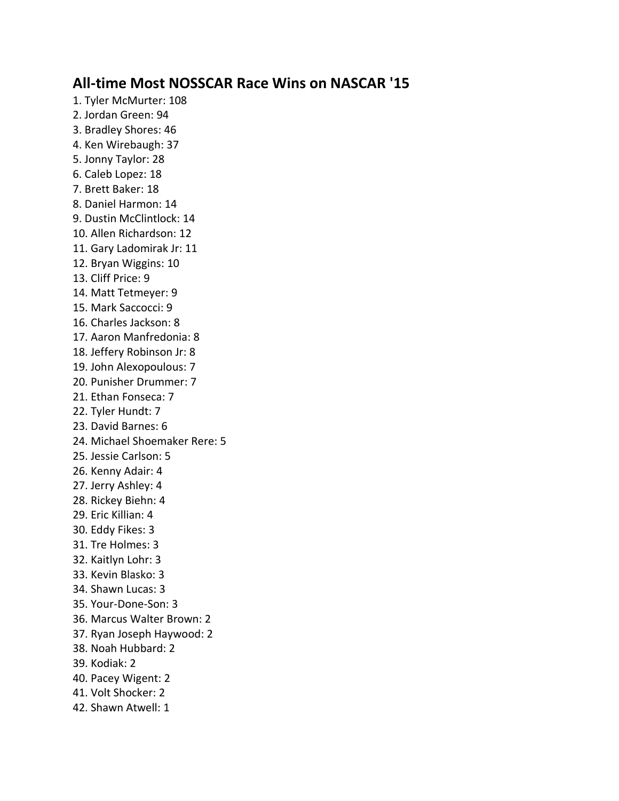## **All-time Most NOSSCAR Race Wins on NASCAR '15**

1. Tyler McMurter: 108 2. Jordan Green: 94 3. Bradley Shores: 46 4. Ken Wirebaugh: 37 5. Jonny Taylor: 28 6. Caleb Lopez: 18 7. Brett Baker: 18 8. Daniel Harmon: 14 9. Dustin McClintlock: 14 10. Allen Richardson: 12 11. Gary Ladomirak Jr: 11 12. Bryan Wiggins: 10 13. Cliff Price: 9 14. Matt Tetmeyer: 9 15. Mark Saccocci: 9 16. Charles Jackson: 8 17. Aaron Manfredonia: 8 18. Jeffery Robinson Jr: 8 19. John Alexopoulous: 7 20. Punisher Drummer: 7 21. Ethan Fonseca: 7 22. Tyler Hundt: 7 23. David Barnes: 6 24. Michael Shoemaker Rere: 5 25. Jessie Carlson: 5 26. Kenny Adair: 4 27. Jerry Ashley: 4 28. Rickey Biehn: 4 29. Eric Killian: 4 30. Eddy Fikes: 3 31. Tre Holmes: 3 32. Kaitlyn Lohr: 3 33. Kevin Blasko: 3 34. Shawn Lucas: 3 35. Your-Done-Son: 3 36. Marcus Walter Brown: 2 37. Ryan Joseph Haywood: 2 38. Noah Hubbard: 2 39. Kodiak: 2 40. Pacey Wigent: 2 41. Volt Shocker: 2 42. Shawn Atwell: 1